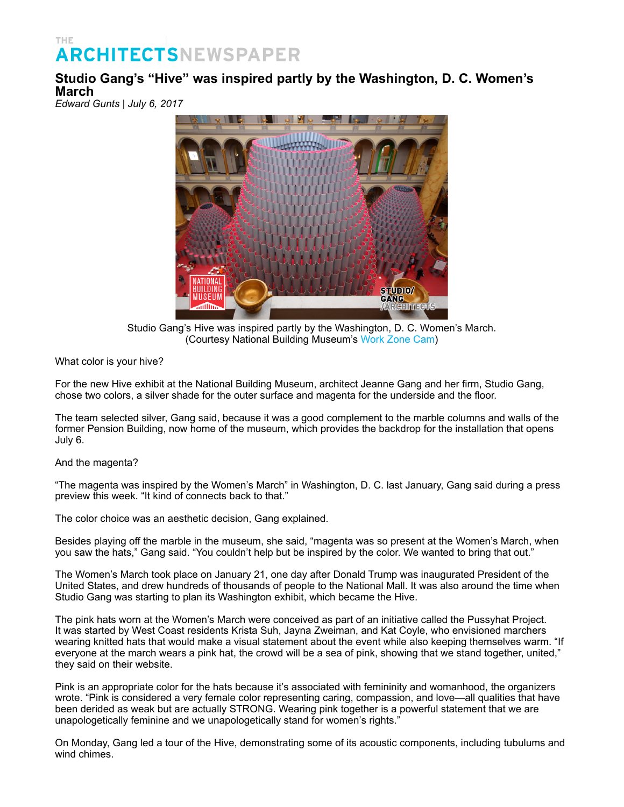## THE **ARCHITECTSNEWSPAPER**

## **Studio Gang's "Hive" was inspired partly by the Washington, D. C. Women's March**

*Edward Gunts | July 6, 2017*



Studio Gang's Hive was inspired partly by the Washington, D. C. Women's March. (Courtesy National Building Museum's [Work Zone Cam\)](http://www.workzonecam.com/)

What color is your hive?

For the new Hive exhibit at the National Building Museum, architect Jeanne Gang and her firm, Studio Gang, chose two colors, a silver shade for the outer surface and magenta for the underside and the floor.

The team selected silver, Gang said, because it was a good complement to the marble columns and walls of the former Pension Building, now home of the museum, which provides the backdrop for the installation that opens July 6.

## And the magenta?

"The magenta was inspired by the Women's March" in Washington, D. C. last January, Gang said during a press preview this week. "It kind of connects back to that."

The color choice was an aesthetic decision, Gang explained.

Besides playing off the marble in the museum, she said, "magenta was so present at the Women's March, when you saw the hats," Gang said. "You couldn't help but be inspired by the color. We wanted to bring that out."

The Women's March took place on January 21, one day after Donald Trump was inaugurated President of the United States, and drew hundreds of thousands of people to the National Mall. It was also around the time when Studio Gang was starting to plan its Washington exhibit, which became the Hive.

The pink hats worn at the Women's March were conceived as part of an initiative called the Pussyhat Project. It was started by West Coast residents Krista Suh, Jayna Zweiman, and Kat Coyle, who envisioned marchers wearing knitted hats that would make a visual statement about the event while also keeping themselves warm. "If everyone at the march wears a pink hat, the crowd will be a sea of pink, showing that we stand together, united," they said on their website.

Pink is an appropriate color for the hats because it's associated with femininity and womanhood, the organizers wrote. "Pink is considered a very female color representing caring, compassion, and love—all qualities that have been derided as weak but are actually STRONG. Wearing pink together is a powerful statement that we are unapologetically feminine and we unapologetically stand for women's rights.

On Monday, Gang led a tour of the Hive, demonstrating some of its acoustic components, including tubulums and wind chimes.